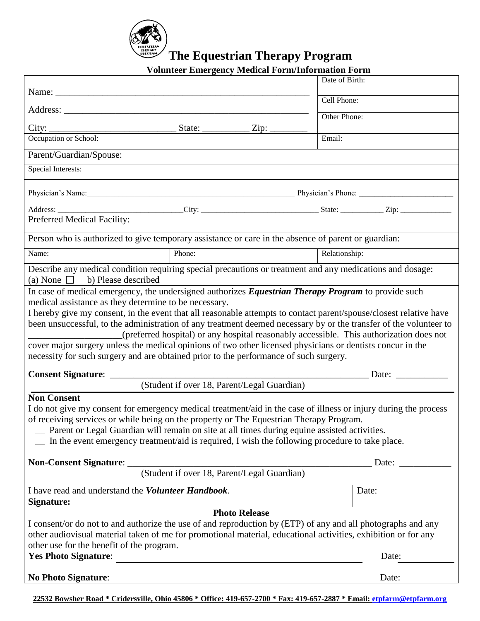

| <b>Volunteer Emergency Medical Form/Information Form</b> |  |  |  |
|----------------------------------------------------------|--|--|--|

|                                                                                                                                                                                                                                                                                                                                                                                                                                            |               |                                             | Date of Birth:                                                                          |  |
|--------------------------------------------------------------------------------------------------------------------------------------------------------------------------------------------------------------------------------------------------------------------------------------------------------------------------------------------------------------------------------------------------------------------------------------------|---------------|---------------------------------------------|-----------------------------------------------------------------------------------------|--|
|                                                                                                                                                                                                                                                                                                                                                                                                                                            |               |                                             | Cell Phone:                                                                             |  |
|                                                                                                                                                                                                                                                                                                                                                                                                                                            |               |                                             | Other Phone:                                                                            |  |
|                                                                                                                                                                                                                                                                                                                                                                                                                                            | State: $\_\_$ | Zip:                                        |                                                                                         |  |
| Occupation or School:                                                                                                                                                                                                                                                                                                                                                                                                                      |               |                                             | Email:                                                                                  |  |
| Parent/Guardian/Spouse:                                                                                                                                                                                                                                                                                                                                                                                                                    |               |                                             |                                                                                         |  |
| <b>Special Interests:</b>                                                                                                                                                                                                                                                                                                                                                                                                                  |               |                                             |                                                                                         |  |
| Physician's Name: Name: Name: Name: Name: Name: Name: Name: Name: Name: Name: Name: Name: Name: Name: Name: Name: Name: Name: Name: Name: Name: Name: Name: Name: Name: Name: Name: Name: Name: Name: Name: Name: Name: Name:                                                                                                                                                                                                              |               |                                             |                                                                                         |  |
|                                                                                                                                                                                                                                                                                                                                                                                                                                            |               |                                             |                                                                                         |  |
| Preferred Medical Facility:                                                                                                                                                                                                                                                                                                                                                                                                                |               |                                             |                                                                                         |  |
| Person who is authorized to give temporary assistance or care in the absence of parent or guardian:                                                                                                                                                                                                                                                                                                                                        |               |                                             |                                                                                         |  |
| Name:                                                                                                                                                                                                                                                                                                                                                                                                                                      | Phone:        |                                             | Relationship:                                                                           |  |
| Describe any medical condition requiring special precautions or treatment and any medications and dosage:<br>(a) None $\Box$ b) Please described                                                                                                                                                                                                                                                                                           |               |                                             |                                                                                         |  |
| been unsuccessful, to the administration of any treatment deemed necessary by or the transfer of the volunteer to<br>cover major surgery unless the medical opinions of two other licensed physicians or dentists concur in the<br>necessity for such surgery and are obtained prior to the performance of such surgery.                                                                                                                   |               |                                             | (preferred hospital) or any hospital reasonably accessible. This authorization does not |  |
| <b>Consent Signature:</b>                                                                                                                                                                                                                                                                                                                                                                                                                  |               |                                             | Date: $\qquad \qquad$                                                                   |  |
| <b>Non Consent</b>                                                                                                                                                                                                                                                                                                                                                                                                                         |               | (Student if over 18, Parent/Legal Guardian) |                                                                                         |  |
| I do not give my consent for emergency medical treatment/aid in the case of illness or injury during the process<br>of receiving services or while being on the property or The Equestrian Therapy Program.<br>Parent or Legal Guardian will remain on site at all times during equine assisted activities.<br>In the event emergency treatment/aid is required, I wish the following procedure to take place.<br>Non-Consent Signature: _ |               | (Student if over 18, Parent/Legal Guardian) | Date:                                                                                   |  |
|                                                                                                                                                                                                                                                                                                                                                                                                                                            |               |                                             |                                                                                         |  |
| I have read and understand the Volunteer Handbook.<br>Signature:                                                                                                                                                                                                                                                                                                                                                                           |               |                                             | Date:                                                                                   |  |
| <b>Photo Release</b><br>I consent/or do not to and authorize the use of and reproduction by (ETP) of any and all photographs and any<br>other audiovisual material taken of me for promotional material, educational activities, exhibition or for any<br>other use for the benefit of the program.<br><b>Yes Photo Signature:</b><br>Date:                                                                                                |               |                                             |                                                                                         |  |
| <b>No Photo Signature:</b>                                                                                                                                                                                                                                                                                                                                                                                                                 |               |                                             | Date:                                                                                   |  |
|                                                                                                                                                                                                                                                                                                                                                                                                                                            |               |                                             |                                                                                         |  |

**22532 Bowsher Road \* Cridersville, Ohio 45806 \* Office: 419-657-2700 \* Fax: 419-657-2887 \* Email: [etpfarm@etpfarm.org](mailto:etpfarm@etpfarm.org)**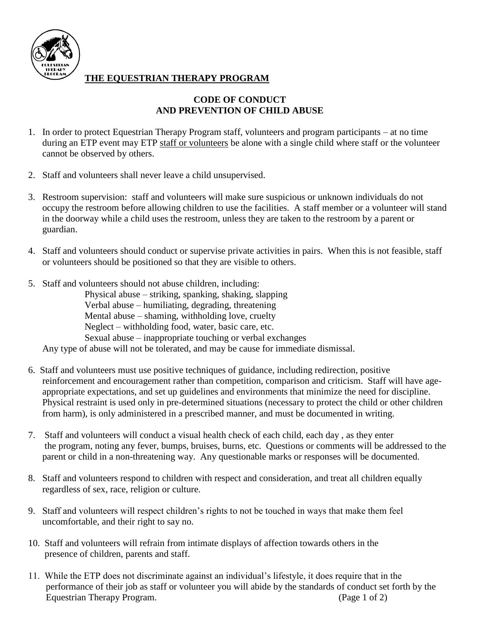

#### **THE EQUESTRIAN THERAPY PROGRAM**

#### **CODE OF CONDUCT AND PREVENTION OF CHILD ABUSE**

- 1. In order to protect Equestrian Therapy Program staff, volunteers and program participants at no time during an ETP event may ETP staff or volunteers be alone with a single child where staff or the volunteer cannot be observed by others.
- 2. Staff and volunteers shall never leave a child unsupervised.
- 3. Restroom supervision: staff and volunteers will make sure suspicious or unknown individuals do not occupy the restroom before allowing children to use the facilities. A staff member or a volunteer will stand in the doorway while a child uses the restroom, unless they are taken to the restroom by a parent or guardian.
- 4. Staff and volunteers should conduct or supervise private activities in pairs. When this is not feasible, staff or volunteers should be positioned so that they are visible to others.
- 5. Staff and volunteers should not abuse children, including:

Physical abuse – striking, spanking, shaking, slapping Verbal abuse – humiliating, degrading, threatening Mental abuse – shaming, withholding love, cruelty Neglect – withholding food, water, basic care, etc. Sexual abuse – inappropriate touching or verbal exchanges Any type of abuse will not be tolerated, and may be cause for immediate dismissal.

- 6. Staff and volunteers must use positive techniques of guidance, including redirection, positive reinforcement and encouragement rather than competition, comparison and criticism. Staff will have ageappropriate expectations, and set up guidelines and environments that minimize the need for discipline. Physical restraint is used only in pre-determined situations (necessary to protect the child or other children from harm), is only administered in a prescribed manner, and must be documented in writing.
- 7. Staff and volunteers will conduct a visual health check of each child, each day , as they enter the program, noting any fever, bumps, bruises, burns, etc. Questions or comments will be addressed to the parent or child in a non-threatening way. Any questionable marks or responses will be documented.
- 8. Staff and volunteers respond to children with respect and consideration, and treat all children equally regardless of sex, race, religion or culture.
- 9. Staff and volunteers will respect children's rights to not be touched in ways that make them feel uncomfortable, and their right to say no.
- 10. Staff and volunteers will refrain from intimate displays of affection towards others in the presence of children, parents and staff.
- 11. While the ETP does not discriminate against an individual's lifestyle, it does require that in the performance of their job as staff or volunteer you will abide by the standards of conduct set forth by the Equestrian Therapy Program. (Page 1 of 2)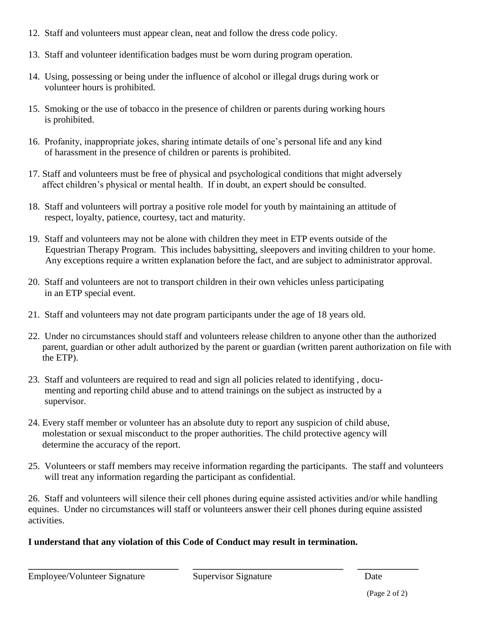- 12. Staff and volunteers must appear clean, neat and follow the dress code policy.
- 13. Staff and volunteer identification badges must be worn during program operation.
- 14. Using, possessing or being under the influence of alcohol or illegal drugs during work or volunteer hours is prohibited.
- 15. Smoking or the use of tobacco in the presence of children or parents during working hours is prohibited.
- 16. Profanity, inappropriate jokes, sharing intimate details of one's personal life and any kind of harassment in the presence of children or parents is prohibited.
- 17. Staff and volunteers must be free of physical and psychological conditions that might adversely affect children's physical or mental health. If in doubt, an expert should be consulted.
- 18. Staff and volunteers will portray a positive role model for youth by maintaining an attitude of respect, loyalty, patience, courtesy, tact and maturity.
- 19. Staff and volunteers may not be alone with children they meet in ETP events outside of the Equestrian Therapy Program. This includes babysitting, sleepovers and inviting children to your home. Any exceptions require a written explanation before the fact, and are subject to administrator approval.
- 20. Staff and volunteers are not to transport children in their own vehicles unless participating in an ETP special event.
- 21. Staff and volunteers may not date program participants under the age of 18 years old.
- 22. Under no circumstances should staff and volunteers release children to anyone other than the authorized parent, guardian or other adult authorized by the parent or guardian (written parent authorization on file with the ETP).
- 23. Staff and volunteers are required to read and sign all policies related to identifying , documenting and reporting child abuse and to attend trainings on the subject as instructed by a supervisor.
- 24. Every staff member or volunteer has an absolute duty to report any suspicion of child abuse, molestation or sexual misconduct to the proper authorities. The child protective agency will determine the accuracy of the report.
- 25. Volunteers or staff members may receive information regarding the participants. The staff and volunteers will treat any information regarding the participant as confidential.

26. Staff and volunteers will silence their cell phones during equine assisted activities and/or while handling equines. Under no circumstances will staff or volunteers answer their cell phones during equine assisted activities.

#### **I understand that any violation of this Code of Conduct may result in termination.**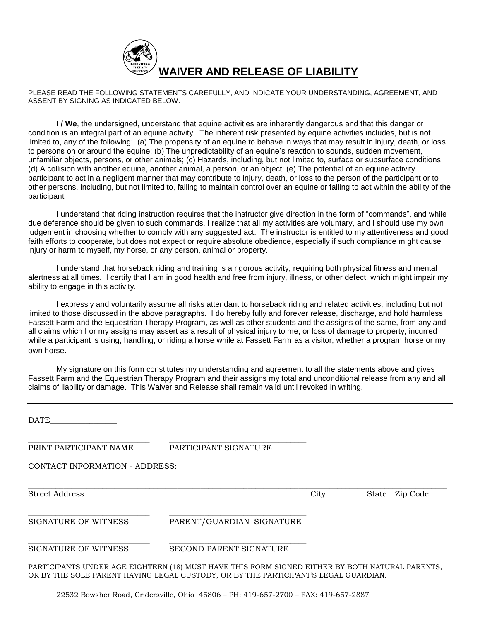

PLEASE READ THE FOLLOWING STATEMENTS CAREFULLY, AND INDICATE YOUR UNDERSTANDING, AGREEMENT, AND ASSENT BY SIGNING AS INDICATED BELOW.

 **I / We**, the undersigned, understand that equine activities are inherently dangerous and that this danger or condition is an integral part of an equine activity. The inherent risk presented by equine activities includes, but is not limited to, any of the following: (a) The propensity of an equine to behave in ways that may result in injury, death, or loss to persons on or around the equine; (b) The unpredictability of an equine's reaction to sounds, sudden movement, unfamiliar objects, persons, or other animals; (c) Hazards, including, but not limited to, surface or subsurface conditions; (d) A collision with another equine, another animal, a person, or an object; (e) The potential of an equine activity participant to act in a negligent manner that may contribute to injury, death, or loss to the person of the participant or to other persons, including, but not limited to, failing to maintain control over an equine or failing to act within the ability of the participant

I understand that riding instruction requires that the instructor give direction in the form of "commands", and while due deference should be given to such commands, I realize that all my activities are voluntary, and I should use my own judgement in choosing whether to comply with any suggested act. The instructor is entitled to my attentiveness and good faith efforts to cooperate, but does not expect or require absolute obedience, especially if such compliance might cause injury or harm to myself, my horse, or any person, animal or property.

I understand that horseback riding and training is a rigorous activity, requiring both physical fitness and mental alertness at all times. I certify that I am in good health and free from injury, illness, or other defect, which might impair my ability to engage in this activity.

I expressly and voluntarily assume all risks attendant to horseback riding and related activities, including but not limited to those discussed in the above paragraphs. I do hereby fully and forever release, discharge, and hold harmless Fassett Farm and the Equestrian Therapy Program, as well as other students and the assigns of the same, from any and all claims which I or my assigns may assert as a result of physical injury to me, or loss of damage to property, incurred while a participant is using, handling, or riding a horse while at Fassett Farm as a visitor, whether a program horse or my own horse.

My signature on this form constitutes my understanding and agreement to all the statements above and gives Fassett Farm and the Equestrian Therapy Program and their assigns my total and unconditional release from any and all claims of liability or damage. This Waiver and Release shall remain valid until revoked in writing.

| <b>DATE</b>                    |                                                                                                                                                                                        |      |                |
|--------------------------------|----------------------------------------------------------------------------------------------------------------------------------------------------------------------------------------|------|----------------|
| PRINT PARTICIPANT NAME         | PARTICIPANT SIGNATURE                                                                                                                                                                  |      |                |
| CONTACT INFORMATION - ADDRESS: |                                                                                                                                                                                        |      |                |
| <b>Street Address</b>          |                                                                                                                                                                                        | City | State Zip Code |
| <b>SIGNATURE OF WITNESS</b>    | PARENT/GUARDIAN SIGNATURE                                                                                                                                                              |      |                |
| SIGNATURE OF WITNESS           | SECOND PARENT SIGNATURE                                                                                                                                                                |      |                |
|                                | PARTICIPANTS UNDER AGE EIGHTEEN (18) MUST HAVE THIS FORM SIGNED EITHER BY BOTH NATURAL PARENTS,<br>OR BY THE SOLE PARENT HAVING LEGAL CUSTODY, OR BY THE PARTICIPANT'S LEGAL GUARDIAN. |      |                |

22532 Bowsher Road, Cridersville, Ohio 45806 – PH: 419-657-2700 – FAX: 419-657-2887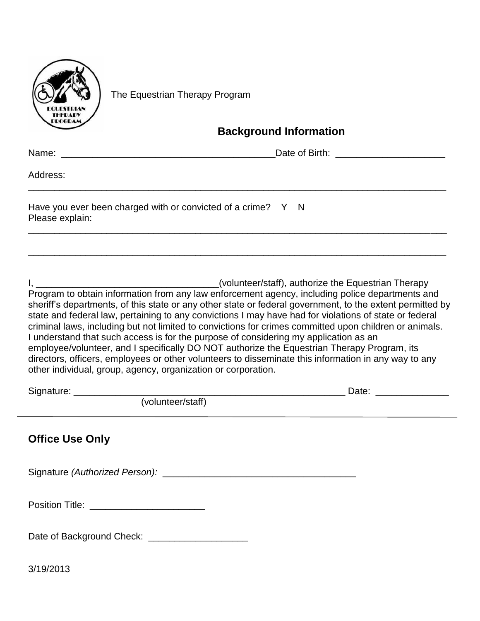

The Equestrian Therapy Program

#### **Background Information**

| Address:                                                                        |  |
|---------------------------------------------------------------------------------|--|
| Have you ever been charged with or convicted of a crime? Y N<br>Please explain: |  |
|                                                                                 |  |

I, \_\_\_\_\_\_\_\_\_\_\_\_\_\_\_\_\_\_\_\_\_\_\_\_\_\_\_\_\_\_\_\_\_\_\_(volunteer/staff), authorize the Equestrian Therapy Program to obtain information from any law enforcement agency, including police departments and sheriff's departments, of this state or any other state or federal government, to the extent permitted by state and federal law, pertaining to any convictions I may have had for violations of state or federal criminal laws, including but not limited to convictions for crimes committed upon children or animals. I understand that such access is for the purpose of considering my application as an employee/volunteer, and I specifically DO NOT authorize the Equestrian Therapy Program, its directors, officers, employees or other volunteers to disseminate this information in any way to any other individual, group, agency, organization or corporation.

| (volunteer/staff)                                | Date: __________________ |
|--------------------------------------------------|--------------------------|
| <b>Office Use Only</b>                           |                          |
|                                                  |                          |
|                                                  |                          |
| Date of Background Check: ______________________ |                          |

3/19/2013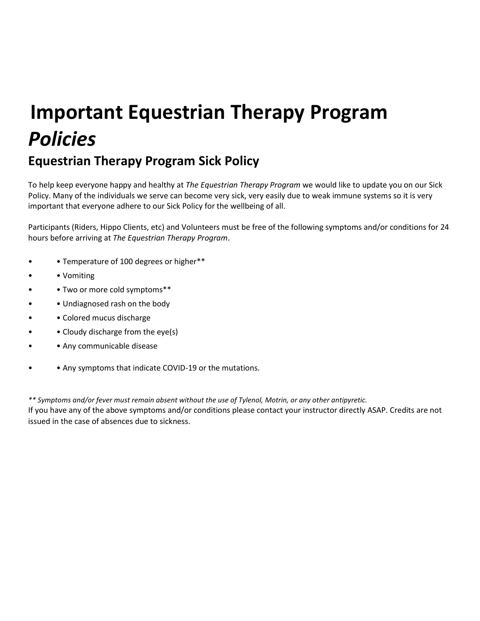# **Important Equestrian Therapy Program**  *Policies*

### **Equestrian Therapy Program Sick Policy**

To help keep everyone happy and healthy at *The Equestrian Therapy Program* we would like to update you on our Sick Policy. Many of the individuals we serve can become very sick, very easily due to weak immune systems so it is very important that everyone adhere to our Sick Policy for the wellbeing of all.

Participants (Riders, Hippo Clients, etc) and Volunteers must be free of the following symptoms and/or conditions for 24 hours before arriving at *The Equestrian Therapy Program*.

- • Temperature of 100 degrees or higher\*\*
- • Vomiting
- • Two or more cold symptoms\*\*
- Undiagnosed rash on the body
- Colored mucus discharge
- Cloudy discharge from the eye(s)
- Any communicable disease
- Any symptoms that indicate COVID-19 or the mutations.

*\*\* Symptoms and/or fever must remain absent without the use of Tylenol, Motrin, or any other antipyretic.*  If you have any of the above symptoms and/or conditions please contact your instructor directly ASAP. Credits are not issued in the case of absences due to sickness.